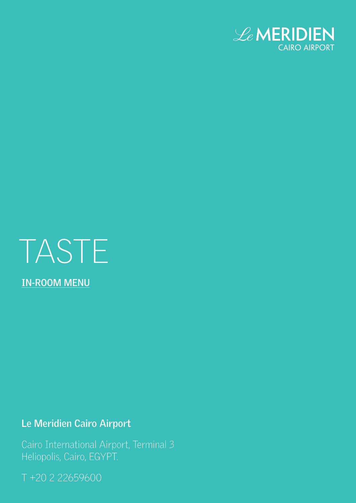



# **Le Meridien Cairo Airport**

Cairo International Airport, Terminal 3 Heliopolis, Cairo, EGYPT.

T +20 2 22659600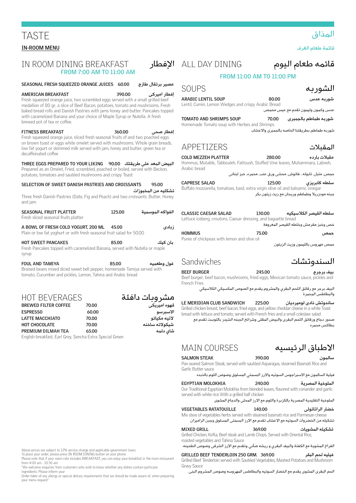| قائمه طعام اليوم                                                                                                                            | ALL DAY DINING                                                                                | الافطار                       | FROM 7:00 AM TO 11:00 AM                                                                                                                                                                                                                                                                                                                                                                                       | IN ROOM DINING BREAKFAST                                                                                                                                                                                               |
|---------------------------------------------------------------------------------------------------------------------------------------------|-----------------------------------------------------------------------------------------------|-------------------------------|----------------------------------------------------------------------------------------------------------------------------------------------------------------------------------------------------------------------------------------------------------------------------------------------------------------------------------------------------------------------------------------------------------------|------------------------------------------------------------------------------------------------------------------------------------------------------------------------------------------------------------------------|
| FROM 11:00 AM TO 11:00 PM                                                                                                                   |                                                                                               |                               |                                                                                                                                                                                                                                                                                                                                                                                                                |                                                                                                                                                                                                                        |
| الشوربه                                                                                                                                     | <b>SOUPS</b>                                                                                  | عصير برتقال طازج              |                                                                                                                                                                                                                                                                                                                                                                                                                | SEASONAL FRESH SQUEEZED ORANGE JUICES 60.00                                                                                                                                                                            |
| شوربه عدس<br>80.00<br>عدس وكمون وليمون تقدم مع عيس محمص                                                                                     | <b>ARABIC LENTIL SOUP</b><br>Lentil, Cumin, Lemon Wedges and crispy Arabic Bread              | إفطار اميركى                  | <b>AMERICAN BREAKFAST</b><br>390.00<br>Fresh squeezed orange juice, two scrambled eggs served with a small grilled beef<br>medallion of 80 gr, a slice of Beef Bacon, potatoes, tomato and mushrooms. Fresh<br>baked bread rolls and Danish Pastries with jams honey and butter. Pancakes topped<br>with caramelized Banana and your choice of Maple Syrup or Nutella. A fresh<br>brewed pot of tea or coffee. |                                                                                                                                                                                                                        |
| 70.00<br>شوربه طماطم بالجمبرى                                                                                                               | <b>TOMATO AND SHRIMPS SOUP</b>                                                                |                               |                                                                                                                                                                                                                                                                                                                                                                                                                |                                                                                                                                                                                                                        |
| شوربه طماطم بطريقتنا الخاصه بالجمبرى والاعشاب                                                                                               | Homemade Tomato soup with Herbes and Shrimps                                                  | إفطار صحى                     | 360.00                                                                                                                                                                                                                                                                                                                                                                                                         | <b>FITNESS BREAKFAST</b>                                                                                                                                                                                               |
|                                                                                                                                             |                                                                                               |                               |                                                                                                                                                                                                                                                                                                                                                                                                                | Fresh squeezed orange juice, sliced fresh seasonal fruits of and two poached eggs                                                                                                                                      |
| المقبلات                                                                                                                                    | APPETIZERS                                                                                    |                               | on brown toast or eggs white omelet served with mushrooms. Whole grain breads,<br>low fat yogurt or skimmed milk served with jam, honey and butter, green tea or                                                                                                                                                                                                                                               |                                                                                                                                                                                                                        |
| مقىلات ياردە<br>280.00                                                                                                                      | <b>COLD MEZZEH PLATTER</b>                                                                    |                               |                                                                                                                                                                                                                                                                                                                                                                                                                | decaffeinated coffee                                                                                                                                                                                                   |
| Hommus, Mutable, Tabbouleh, Fattoush, Stuffed Vine leaves, Muhammara, Labneh,<br>حمص, متبل, تابوله , فاتوش, محشى ورق عنب, محمره, خبز لبناني | Arabic bread                                                                                  |                               |                                                                                                                                                                                                                                                                                                                                                                                                                | البيض المعد على طريقتك    THREE EGGS PREPARED TO YOUR LIKING     90.00<br>Prepared as an Omelet, Fried, scrambled, poached or boiled, served with Beckon,<br>potatoes, tomatoes and sautéed mushrooms and crispy Toast |
| 125.00<br>سلطه کابریزی                                                                                                                      | <b>CAPRESE SALAD</b>                                                                          | 95.00                         |                                                                                                                                                                                                                                                                                                                                                                                                                | SELECTION OF SWEET DANISH PASTRIES AND CROISSANTS                                                                                                                                                                      |
| جبنه مودزريلا وطماطم وريحان مع زيت زيتون بكر                                                                                                | Buffalo mozzarella, tomatoes, basil, extra virgin olive oil and balsamic vinegar              | تشكليه من المخبوزات           |                                                                                                                                                                                                                                                                                                                                                                                                                |                                                                                                                                                                                                                        |
|                                                                                                                                             |                                                                                               |                               |                                                                                                                                                                                                                                                                                                                                                                                                                | Three fresh Danish Pastries (Date, Fig and Peach) and two croissants. Butter, Honey<br>and jam                                                                                                                         |
| سلطه القيصر الكلاسيكيه<br>130.00                                                                                                            | <b>CLASSIC CAESAR SALAD</b><br>Lettuce iceberg, croutons, Caesar dressing, and baquette bread | الفواكه الموسمنة              | 125.00                                                                                                                                                                                                                                                                                                                                                                                                         | <b>SEASONAL FRUIT PLATTER</b><br>Fresh sliced seasonal fruits platter                                                                                                                                                  |
| خص وخبز مقرمش وخلطه القيصر المعروفة                                                                                                         |                                                                                               | ز بادی                        | 45.00                                                                                                                                                                                                                                                                                                                                                                                                          | A BOWL OF FRESH COLD YOGURT, 200 ML                                                                                                                                                                                    |
| 75.00<br>حمص                                                                                                                                | <b>HOMMUS</b><br>Puree of chickpeas with lemon and olive oil                                  |                               |                                                                                                                                                                                                                                                                                                                                                                                                                | Plain or low fat yoghurt or with fresh seasonal fruit salad for 50.00                                                                                                                                                  |
| حمص مهروس بالليمون وزيت الزيتون                                                                                                             |                                                                                               | ىان كىك                       | 85.00                                                                                                                                                                                                                                                                                                                                                                                                          | <b>HOT SWEET PANCAKES</b><br>Fresh Pancakes topped with caramelized Banana, served with Nutella or maple<br>syrup                                                                                                      |
| السندوتشات                                                                                                                                  | Sandwiches                                                                                    | فول وطعمته                    | 85.00                                                                                                                                                                                                                                                                                                                                                                                                          | <b>FOUL AND TAMIYA</b>                                                                                                                                                                                                 |
| 245.00<br>بيف برجرج<br>Beef burger, beef bacon, mushrooms, fried eggs, Mexican tomato sauce, pickles and                                    | <b>BEEF BURGER</b><br>French Fries                                                            |                               |                                                                                                                                                                                                                                                                                                                                                                                                                | Braised beans mixed diced sweet bell pepper, homemade Tamiya served with<br>tomato, Cucumber and pickles, Lemon, Tahina and Arabic bread                                                                               |
| البيف برجر مع رقائق اللحم البقري والمشروم يقدم مع الصوص المكسيكي الكلاسيكي<br>والبطاطس المحمرة                                              |                                                                                               |                               |                                                                                                                                                                                                                                                                                                                                                                                                                |                                                                                                                                                                                                                        |
| ساندوتش نادى لوميرديان<br>225.00<br>Crilled chicken broast, boof bacon, fried eggs, and vollow chooldar choose in a white Togst             | LE MERIDIAN CLUB SANDWICH                                                                     | مشروبات دافئة<br>قهوه اميريكى | 70.00                                                                                                                                                                                                                                                                                                                                                                                                          | <b>HOT BEVERAGES</b><br><b>BREWED FILTER COFFEE</b>                                                                                                                                                                    |

| <b>DREWED FILIER COFFEE</b> | 70.UU                                                    | مهوه ،میریحی   |
|-----------------------------|----------------------------------------------------------|----------------|
| <b>ESPRESSO</b>             | 60.00                                                    | الاسبر سو      |
| LATTE MACCHIATO             | 70.00                                                    | لاتيه مكياتو   |
| <b>HOT CHOCOLATE</b>        | 70.00                                                    | شىكولاتە ساخنە |
| PREMIUM DILMAH TEA          | 65.00                                                    | شای دلمه       |
|                             | English breakfast, Earl Grey, Sencha Extra Special Green |                |

Above prices are subject to 12% service charge and applicable government taxes.<br>To place your order, please press IN ROOM DINING button on your phone

Please note that if your room rate includes BREAKFAST, you can enjoy your breakfast in the main restaurant from 4:00 am - 10:30 am

"We welcome enquiries from customers who wish to know whether any dishes contain particular ingredients. Please inform your

Order-taker of any allergy or special dietary requirements that we should be made aware of, when preparing vour menu request'

### قائمه ط

| <b>CLASSIC CAESAR SALAD</b>                                    | 130.00 | سلطه القيصر الكلاسيكيه              |
|----------------------------------------------------------------|--------|-------------------------------------|
| Lettuce iceberg, croutons, Caesar dressing, and baquette bread |        |                                     |
|                                                                |        | خص وخبز مقرمش وخلطه القبصر المعروفة |

#### السندوت

ساندوتش ناد*ى* on, fried eaas, and vellow cheddar cheese in a white Toast  $\overline{a}$ bread with lettuce and tomato, served with French fries and a small coleslaw salad صدور دجاج ورقائق اللحم البقرى والبيض المقلى وشرائح الجبنه الشيدر بالتوست تقدم مع بطاكس محمره

# االطباق الرئيسيه COURSES MAIN

سالمون **390.00 STEAK SALMON** Pan seared Salmon Steak, served with sautéed Asparagus, steamed Basmati Rice and Garlic Butter sauce

فيلية السالمون مع االسبراجوس السوتيه واالرز البسمتي المسلوق وصوص الثوم بالذبده الملوخية المصرية **240.00 MOLOKHIA EGYPTIAN**

Our Traditional Egyptian Molokhia from blended leaves, flavored with coriander and garlic served with white rice With a grilled half chicken

الملوخية التقليدية المصرية بالكزبرة والثوم مع االرز المحلى والدجاج المشوى

| <b>VEGETABLES RATATOUILLE</b> | 140.00 | خضار الراتاتولى |
|-------------------------------|--------|-----------------|
|                               |        |                 |

Mix stew of vegetables herbs served with steamed basmati rice and Parmesan cheese تشكيله من الخضروات السوتيه مع الاعشاب تقدم مع الارز البسمتى المسلوق وجبن الراميزان

تشكيله المشويات **369.00 GRILL MIXED** Grilled Chicken, Kofta, Beef steak and Lamb Chops. Served with Oriental Rice, roasted vegetables and Tahina Sauce

الفراخ المشوية مع الكفتة والبيف البقري و ريشه ضأني وتقدم مع االرز الشرقى وصوص الطحينه.

| GRILLED BEEF TENDERLOIN 250 GRM. 369.00                                              | فيليه لحم البقر |
|--------------------------------------------------------------------------------------|-----------------|
| Grilled Beef Tenderloin served with Sautéed Vegetables, Mashed Potatoes and Mushroom |                 |
| Gravv Sauce                                                                          |                 |

الحم البقرى المشوى يقدم مع الخضار السوتيه والبطاطس المهروسه وصوص المشروم البنى.

#### المذاق

قائمة طعام الغرف

# TASTE **IN-ROOM MENU**